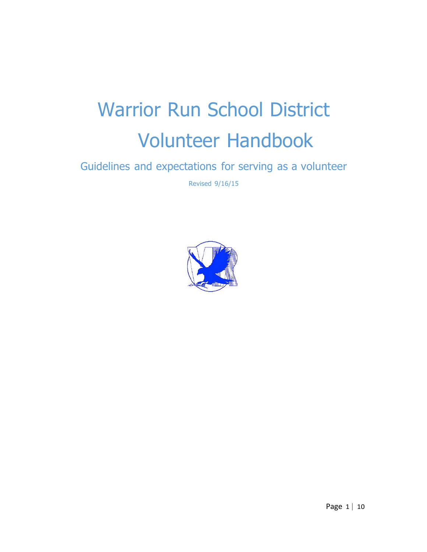# Warrior Run School District Volunteer Handbook

Guidelines and expectations for serving as a volunteer

Revised 9/16/15

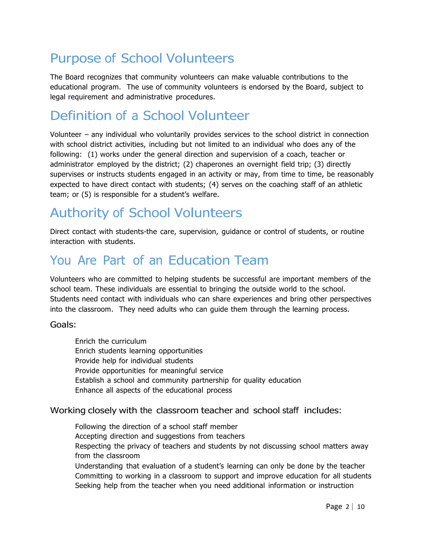# Purpose of School Volunteers

The Board recognizes that community volunteers can make valuable contributions to the educational program. The use of community volunteers is endorsed by the Board, subject to legal requirement and administrative procedures.

# Definition of a School Volunteer

Volunteer – any individual who voluntarily provides services to the school district in connection with school district activities, including but not limited to an individual who does any of the following: (1) works under the general direction and supervision of a coach, teacher or administrator employed by the district; (2) chaperones an overnight field trip; (3) directly supervises or instructs students engaged in an activity or may, from time to time, be reasonably expected to have direct contact with students; (4) serves on the coaching staff of an athletic team; or (5) is responsible for a student's welfare.

# Authority of School Volunteers

Direct contact with students-the care, supervision, guidance or control of students, or routine interaction with students.

### You Are Part of an Education Team

Volunteers who are committed to helping students be successful are important members of the school team. These individuals are essential to bringing the outside world to the school. Students need contact with individuals who can share experiences and bring other perspectives into the classroom. They need adults who can guide them through the learning process.

#### Goals:

 Enrich the curriculum Enrich students learning opportunities Provide help for individual students Provide opportunities for meaningful service Establish a school and community partnership for quality education Enhance all aspects of the educational process

#### Working closely with the classroom teacher and school staff includes:

 Following the direction of a school staff member Accepting direction and suggestions from teachers Respecting the privacy of teachers and students by not discussing school matters away from the classroom Understanding that evaluation of a student's learning can only be done by the teacher Committing to working in a classroom to support and improve education for all students Seeking help from the teacher when you need additional information or instruction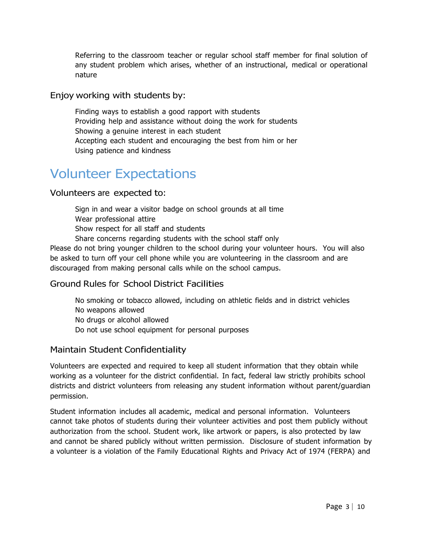Referring to the classroom teacher or regular school staff member for final solution of any student problem which arises, whether of an instructional, medical or operational nature

#### Enjoy working with students by:

 Finding ways to establish a good rapport with students Providing help and assistance without doing the work for students Showing a genuine interest in each student Accepting each student and encouraging the best from him or her Using patience and kindness

### Volunteer Expectations

#### Volunteers are expected to:

 Sign in and wear a visitor badge on school grounds at all time Wear professional attire Show respect for all staff and students Share concerns regarding students with the school staff only

Please do not bring younger children to the school during your volunteer hours. You will also be asked to turn off your cell phone while you are volunteering in the classroom and are discouraged from making personal calls while on the school campus.

#### Ground Rules for School District Facilities

 No smoking or tobacco allowed, including on athletic fields and in district vehicles No weapons allowed

No drugs or alcohol allowed

Do not use school equipment for personal purposes

#### Maintain Student Confidentiality

Volunteers are expected and required to keep all student information that they obtain while working as a volunteer for the district confidential. In fact, federal law strictly prohibits school districts and district volunteers from releasing any student information without parent/guardian permission.

Student information includes all academic, medical and personal information. Volunteers cannot take photos of students during their volunteer activities and post them publicly without authorization from the school. Student work, like artwork or papers, is also protected by law and cannot be shared publicly without written permission. Disclosure of student information by a volunteer is a violation of the Family Educational Rights and Privacy Act of 1974 (FERPA) and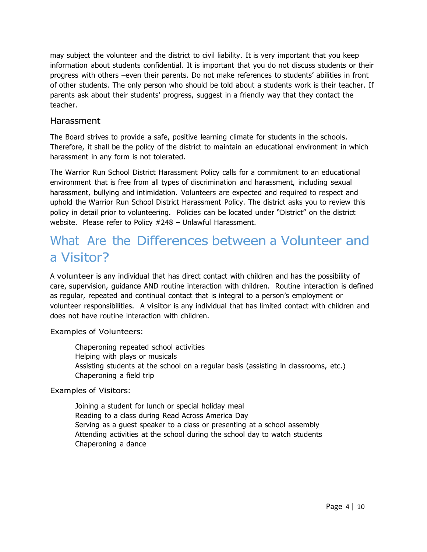may subject the volunteer and the district to civil liability. It is very important that you keep information about students confidential. It is important that you do not discuss students or their progress with others –even their parents. Do not make references to students' abilities in front of other students. The only person who should be told about a students work is their teacher. If parents ask about their students' progress, suggest in a friendly way that they contact the teacher.

#### Harassment

The Board strives to provide a safe, positive learning climate for students in the schools. Therefore, it shall be the policy of the district to maintain an educational environment in which harassment in any form is not tolerated.

The Warrior Run School District Harassment Policy calls for a commitment to an educational environment that is free from all types of discrimination and harassment, including sexual harassment, bullying and intimidation. Volunteers are expected and required to respect and uphold the Warrior Run School District Harassment Policy. The district asks you to review this policy in detail prior to volunteering. Policies can be located under "District" on the district website. Please refer to Policy #248 – Unlawful Harassment.

### What Are the Differences between a Volunteer and a Visitor?

A volunteer is any individual that has direct contact with children and has the possibility of care, supervision, guidance AND routine interaction with children. Routine interaction is defined as regular, repeated and continual contact that is integral to a person's employment or volunteer responsibilities. A visitor is any individual that has limited contact with children and does not have routine interaction with children.

#### Examples of Volunteers:

 Chaperoning repeated school activities Helping with plays or musicals Assisting students at the school on a regular basis (assisting in classrooms, etc.) Chaperoning a field trip

#### Examples of Visitors:

 Joining a student for lunch or special holiday meal Reading to a class during Read Across America Day Serving as a guest speaker to a class or presenting at a school assembly Attending activities at the school during the school day to watch students Chaperoning a dance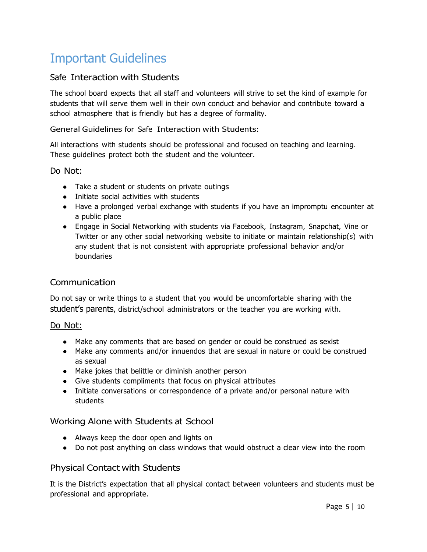# Important Guidelines

#### Safe Interaction with Students

The school board expects that all staff and volunteers will strive to set the kind of example for students that will serve them well in their own conduct and behavior and contribute toward a school atmosphere that is friendly but has a degree of formality.

General Guidelines for Safe Interaction with Students:

All interactions with students should be professional and focused on teaching and learning. These guidelines protect both the student and the volunteer.

#### Do Not:

- Take a student or students on private outings
- Initiate social activities with students
- Have a prolonged verbal exchange with students if you have an impromptu encounter at a public place
- Engage in Social Networking with students via Facebook, Instagram, Snapchat, Vine or Twitter or any other social networking website to initiate or maintain relationship(s) with any student that is not consistent with appropriate professional behavior and/or boundaries

#### Communication

Do not say or write things to a student that you would be uncomfortable sharing with the student's parents, district/school administrators or the teacher you are working with.

#### Do Not:

- Make any comments that are based on gender or could be construed as sexist
- Make any comments and/or innuendos that are sexual in nature or could be construed as sexual
- Make jokes that belittle or diminish another person
- Give students compliments that focus on physical attributes
- Initiate conversations or correspondence of a private and/or personal nature with students

#### Working Alone with Students at School

- Always keep the door open and lights on
- Do not post anything on class windows that would obstruct a clear view into the room

#### Physical Contact with Students

It is the District's expectation that all physical contact between volunteers and students must be professional and appropriate.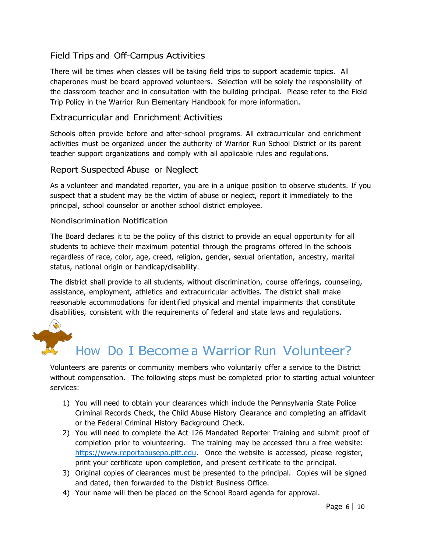#### Field Trips and Off-Campus Activities

There will be times when classes will be taking field trips to support academic topics. All chaperones must be board approved volunteers. Selection will be solely the responsibility of the classroom teacher and in consultation with the building principal. Please refer to the Field Trip Policy in the Warrior Run Elementary Handbook for more information.

#### Extracurricular and Enrichment Activities

Schools often provide before and after-school programs. All extracurricular and enrichment activities must be organized under the authority of Warrior Run School District or its parent teacher support organizations and comply with all applicable rules and regulations.

#### Report Suspected Abuse or Neglect

As a volunteer and mandated reporter, you are in a unique position to observe students. If you suspect that a student may be the victim of abuse or neglect, report it immediately to the principal, school counselor or another school district employee.

#### Nondiscrimination Notification

The Board declares it to be the policy of this district to provide an equal opportunity for all students to achieve their maximum potential through the programs offered in the schools regardless of race, color, age, creed, religion, gender, sexual orientation, ancestry, marital status, national origin or handicap/disability.

The district shall provide to all students, without discrimination, course offerings, counseling, assistance, employment, athletics and extracurricular activities. The district shall make reasonable accommodations for identified physical and mental impairments that constitute disabilities, consistent with the requirements of federal and state laws and regulations.



### How Do I Become a Warrior Run Volunteer?

Volunteers are parents or community members who voluntarily offer a service to the District without compensation. The following steps must be completed prior to starting actual volunteer services:

- 1) You will need to obtain your clearances which include the Pennsylvania State Police Criminal Records Check, the Child Abuse History Clearance and completing an affidavit or the Federal Criminal History Background Check.
- 2) You will need to complete the Act 126 Mandated Reporter Training and submit proof of completion prior to volunteering. The training may be accessed thru a free website: https://www.reportabusepa.pitt.edu. Once the website is accessed, please register, print your certificate upon completion, and present certificate to the principal.
- 3) Original copies of clearances must be presented to the principal. Copies will be signed and dated, then forwarded to the District Business Office.
- 4) Your name will then be placed on the School Board agenda for approval.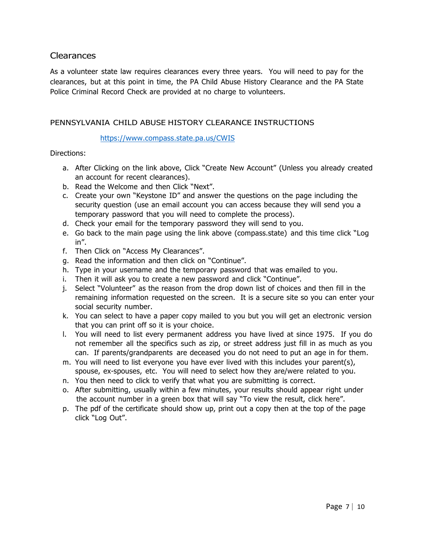#### Clearances

As a volunteer state law requires clearances every three years. You will need to pay for the clearances, but at this point in time, the PA Child Abuse History Clearance and the PA State Police Criminal Record Check are provided at no charge to volunteers.

#### PENNSYLVANIA CHILD ABUSE HISTORY CLEARANCE INSTRUCTIONS

#### https://www.compass.state.pa.us/CWIS

Directions:

- a. After Clicking on the link above, Click "Create New Account" (Unless you already created an account for recent clearances).
- b. Read the Welcome and then Click "Next".
- c. Create your own "Keystone ID" and answer the questions on the page including the security question (use an email account you can access because they will send you a temporary password that you will need to complete the process).
- d. Check your email for the temporary password they will send to you.
- e. Go back to the main page using the link above (compass.state) and this time click "Log in".
- f. Then Click on "Access My Clearances".
- g. Read the information and then click on "Continue".
- h. Type in your username and the temporary password that was emailed to you.
- i. Then it will ask you to create a new password and click "Continue".
- j. Select "Volunteer" as the reason from the drop down list of choices and then fill in the remaining information requested on the screen. It is a secure site so you can enter your social security number.
- k. You can select to have a paper copy mailed to you but you will get an electronic version that you can print off so it is your choice.
- l. You will need to list every permanent address you have lived at since 1975. If you do not remember all the specifics such as zip, or street address just fill in as much as you can. If parents/grandparents are deceased you do not need to put an age in for them.
- m. You will need to list everyone you have ever lived with this includes your parent(s), spouse, ex-spouses, etc. You will need to select how they are/were related to you.
- n. You then need to click to verify that what you are submitting is correct.
- o. After submitting, usually within a few minutes, your results should appear right under the account number in a green box that will say "To view the result, click here".
- p. The pdf of the certificate should show up, print out a copy then at the top of the page click "Log Out".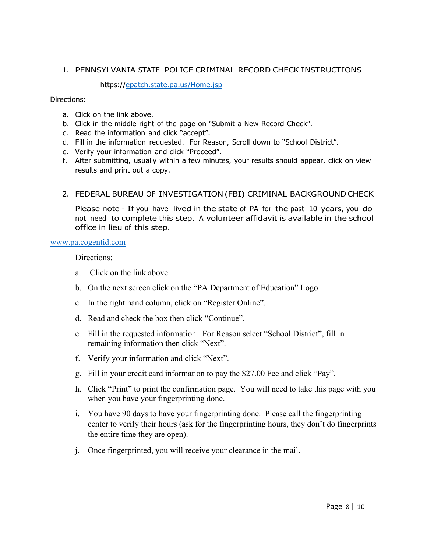#### 1. PENNSYLVANIA STATE POLICE CRIMINAL RECORD CHECK INSTRUCTIONS

https://epatch.state.pa.us/Home.jsp

Directions:

- a. Click on the link above.
- b. Click in the middle right of the page on "Submit a New Record Check".
- c. Read the information and click "accept".
- d. Fill in the information requested. For Reason, Scroll down to "School District".
- e. Verify your information and click "Proceed".
- f. After submitting, usually within a few minutes, your results should appear, click on view results and print out a copy.

#### 2. FEDERAL BUREAU OF INVESTIGATION (FBI) CRIMINAL BACKGROUND CHECK

Please note - If you have lived in the state of PA for the past 10 years, you do not need to complete this step. A volunteer affidavit is available in the school office in lieu of this step.

#### www.pa.cogentid.com

Directions:

- a. Click on the link above.
- b. On the next screen click on the "PA Department of Education" Logo
- c. In the right hand column, click on "Register Online".
- d. Read and check the box then click "Continue".
- e. Fill in the requested information. For Reason select "School District", fill in remaining information then click "Next".
- f. Verify your information and click "Next".
- g. Fill in your credit card information to pay the \$27.00 Fee and click "Pay".
- h. Click "Print" to print the confirmation page. You will need to take this page with you when you have your fingerprinting done.
- i. You have 90 days to have your fingerprinting done. Please call the fingerprinting center to verify their hours (ask for the fingerprinting hours, they don't do fingerprints the entire time they are open).
- j. Once fingerprinted, you will receive your clearance in the mail.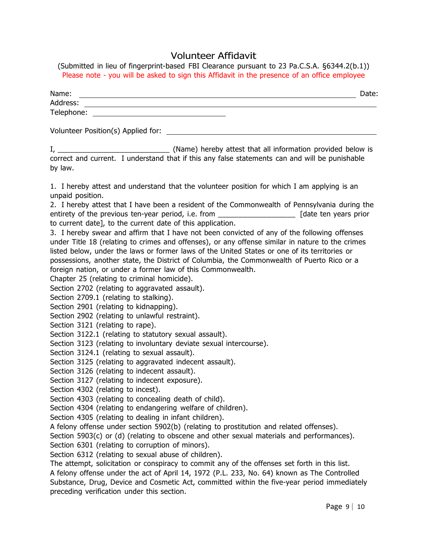#### Volunteer Affidavit

(Submitted in lieu of fingerprint-based FBI Clearance pursuant to 23 Pa.C.S.A. §6344.2(b.1)) Please note - you will be asked to sign this Affidavit in the presence of an office employee

| Name:                              | Date: |
|------------------------------------|-------|
| Address:                           |       |
| Telephone:                         |       |
| Volunteer Position(s) Applied for: |       |

I, \_\_\_\_\_\_\_\_\_\_\_\_\_\_\_\_\_\_\_\_\_\_\_\_\_\_\_ (Name) hereby attest that all information provided below is correct and current. I understand that if this any false statements can and will be punishable by law.

1. I hereby attest and understand that the volunteer position for which I am applying is an unpaid position.

2. I hereby attest that I have been a resident of the Commonwealth of Pennsylvania during the entirety of the previous ten-year period, i.e. from \_\_\_\_\_\_\_\_\_\_\_\_\_\_\_\_\_\_\_\_\_\_\_\_\_\_\_\_ [date ten years prior to current date], to the current date of this application.

3. I hereby swear and affirm that I have not been convicted of any of the following offenses under Title 18 (relating to crimes and offenses), or any offense similar in nature to the crimes listed below, under the laws or former laws of the United States or one of its territories or possessions, another state, the District of Columbia, the Commonwealth of Puerto Rico or a foreign nation, or under a former law of this Commonwealth.

Chapter 25 (relating to criminal homicide).

Section 2702 (relating to aggravated assault).

Section 2709.1 (relating to stalking).

Section 2901 (relating to kidnapping).

Section 2902 (relating to unlawful restraint).

Section 3121 (relating to rape).

Section 3122.1 (relating to statutory sexual assault).

Section 3123 (relating to involuntary deviate sexual intercourse).

Section 3124.1 (relating to sexual assault).

Section 3125 (relating to aggravated indecent assault).

Section 3126 (relating to indecent assault).

Section 3127 (relating to indecent exposure).

Section 4302 (relating to incest).

Section 4303 (relating to concealing death of child).

Section 4304 (relating to endangering welfare of children).

Section 4305 (relating to dealing in infant children).

A felony offense under section 5902(b) (relating to prostitution and related offenses).

Section 5903(c) or (d) (relating to obscene and other sexual materials and performances).

Section 6301 (relating to corruption of minors).

Section 6312 (relating to sexual abuse of children).

The attempt, solicitation or conspiracy to commit any of the offenses set forth in this list.

A felony offense under the act of April 14, 1972 (P.L. 233, No. 64) known as The Controlled Substance, Drug, Device and Cosmetic Act, committed within the five-year period immediately preceding verification under this section.